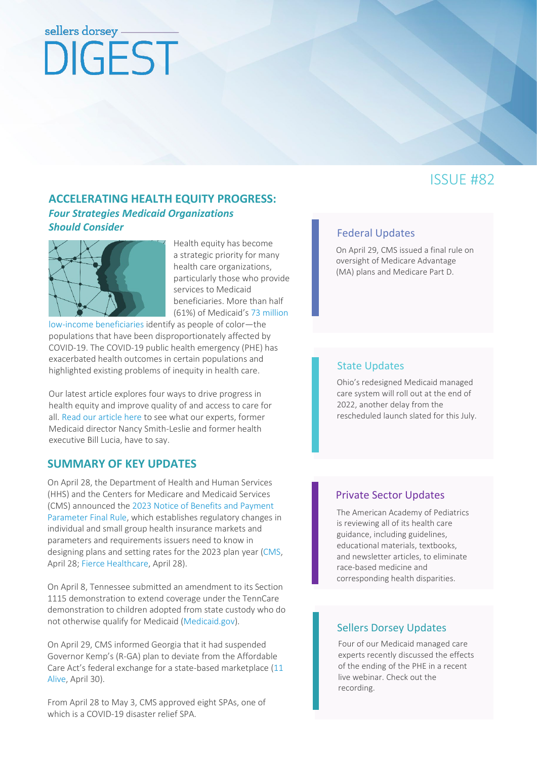# sellers dorsey DIGFST

# ISSUE #82

## **[ACCELERATING HEALTH EQUITY PROGRESS:](https://www.sellersdorsey.com/news-resources/announcements/four-strategies-organizations-can-use-to-accelerate-health-equity/)** *[Four Strategies Medicaid Organizations](https://www.sellersdorsey.com/news-resources/announcements/four-strategies-organizations-can-use-to-accelerate-health-equity/)  [Should Consider](https://www.sellersdorsey.com/news-resources/announcements/four-strategies-organizations-can-use-to-accelerate-health-equity/)*



Health equity has become a strategic priority for many health care organizations, particularly those who provide services to Medicaid beneficiaries. More than half (61%) of Medicaid's [73 million](https://www.macpac.gov/wp-content/uploads/2021/04/Racial-and-Ethnic-Disparities-in-Medicaid-An-Annotated-Bibliography.pdf)

low-income [beneficiaries](https://www.macpac.gov/wp-content/uploads/2021/04/Racial-and-Ethnic-Disparities-in-Medicaid-An-Annotated-Bibliography.pdf) identify as people of color—the populations that have been disproportionately affected by COVID-19. The COVID-19 public health emergency (PHE) has exacerbated health outcomes in certain populations and highlighted existing problems of inequity in health care.

Our latest article explores four ways to drive progress in health equity and improve quality of and access to care for all. Read our [article here](https://www.sellersdorsey.com/news-resources/announcements/four-strategies-organizations-can-use-to-accelerate-health-equity/) to see what our experts, former Medicaid director Nancy Smith-Leslie and former health executive Bill Lucia, have to say.

## **SUMMARY OF KEY UPDATES**

On April 28, the Department of Health and Human Services (HHS) and the Centers for Medicare and Medicaid Services (CMS) announced th[e 2023 Notice of Benefits and Payment](https://www.cms.gov/files/document/cms-9911-f-patient-protection-final-rule.pdf)  [Parameter Final Rule,](https://www.cms.gov/files/document/cms-9911-f-patient-protection-final-rule.pdf) which establishes regulatory changes in individual and small group health insurance markets and parameters and requirements issuers need to know in designing plans and setting rates for the 2023 plan year [\(CMS,](https://www.cms.gov/newsroom/press-releases/hhs-announces-new-policy-make-coverage-more-accessible-and-affordable-millions-americans-2023) April 28[; Fierce Healthcare,](https://www.fiercehealthcare.com/payers/cms-finalizes-rule-calls-standardized-plan-options-network-adequacy-reviews-aca-exchanges/) April 28).

On April 8, Tennessee submitted an amendment to its Section 1115 demonstration to extend coverage under the TennCare demonstration to children adopted from state custody who do not otherwise qualify for Medicaid [\(Medicaid.gov\)](https://www.medicaid.gov/medicaid/section-1115-demonstrations/downloads/tn-tenncare-iii-pa-04082022.pdf).

On April 29, CMS informed Georgia that it had suspended Governor Kemp's (R-GA) plan to deviate from the Affordable Care Act's federal exchange for a state-based marketplace [\(11](https://www.11alive.com/article/news/politics/georgia-affordable-care-act-waiver-suspended-marketplace/85-d23489ba-a2d9-432e-a47f-34d5eaf71208)  [Alive,](https://www.11alive.com/article/news/politics/georgia-affordable-care-act-waiver-suspended-marketplace/85-d23489ba-a2d9-432e-a47f-34d5eaf71208) April 30).

From April 28 to May 3, CMS approved eight SPAs, one of which is a COVID-19 disaster relief SPA.

## [Federal Updates](#page-1-0)

On April 29, CMS issued a final rule on oversight of Medicare Advantage (MA) plans and Medicare Part D.

## [State Updates](#page-2-0)

Ohio's redesigned Medicaid managed care system will roll out at the end of 2022, another delay from the rescheduled launch slated for this July.

## [Private Sector Updates](#page-4-0)

The American Academy of Pediatrics is reviewing all of its health care guidance, including guidelines, educational materials, textbooks, and newsletter articles, to eliminate race-based medicine and corresponding health disparities.

## [Sellers Dorsey Updates](#page-4-1)

Four of our Medicaid managed care experts recently discussed the effects of the ending of the PHE in a recent live webinar. Check out the recording.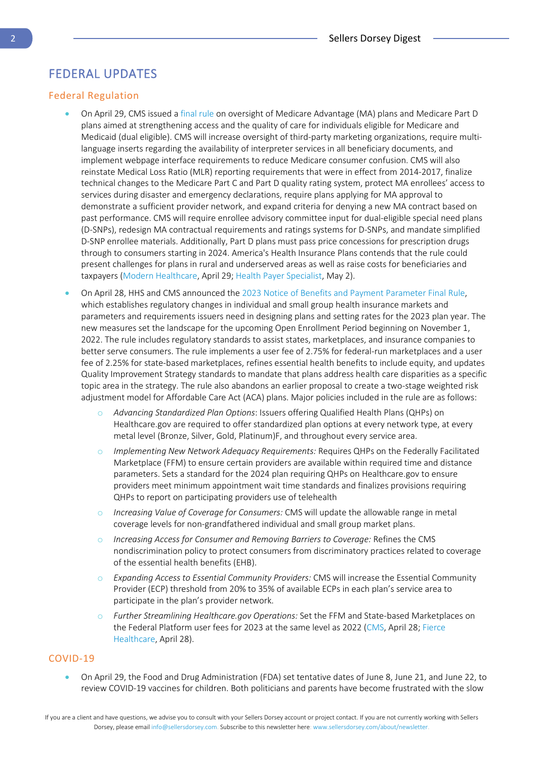# <span id="page-1-0"></span>FEDERAL UPDATES

#### Federal Regulation

- On April 29, CMS issued a [final rule](https://www.cms.gov/newsroom/press-releases/cms-issues-new-policies-provide-greater-transparency-medicare-advantage-and-part-d-plans) on oversight of Medicare Advantage (MA) plans and Medicare Part D plans aimed at strengthening access and the quality of care for individuals eligible for Medicare and Medicaid (dual eligible). CMS will increase oversight of third-party marketing organizations, require multilanguage inserts regarding the availability of interpreter services in all beneficiary documents, and implement webpage interface requirements to reduce Medicare consumer confusion. CMS will also reinstate Medical Loss Ratio (MLR) reporting requirements that were in effect from 2014-2017, finalize technical changes to the Medicare Part C and Part D quality rating system, protect MA enrollees' access to services during disaster and emergency declarations, require plans applying for MA approval to demonstrate a sufficient provider network, and expand criteria for denying a new MA contract based on past performance. CMS will require enrollee advisory committee input for dual-eligible special need plans (D-SNPs), redesign MA contractual requirements and ratings systems for D-SNPs, and mandate simplified D-SNP enrollee materials. Additionally, Part D plans must pass price concessions for prescription drugs through to consumers starting in 2024. America's Health Insurance Plans contends that the rule could present challenges for plans in rural and underserved areas as well as raise costs for beneficiaries and taxpayers [\(Modern Healthcare,](https://www.modernhealthcare.com/law-regulation/cms-tightens-oversight-medicare-advantage-plans?utm_source=modern-healthcare-am&utm_medium=email&utm_campaign=20220501&utm_content=article2-headline) April 29[; Health Payer Specialist,](https://www.healthpayerspecialist.com/c/3591434/459244/ahip_disappointed_with_biden_admin_final_part_rules?referrer_module=issueHeadline&module_order=6) May 2).
- On April 28, HHS and CMS announced th[e 2023 Notice of Benefits and Payment Parameter Final Rule,](https://www.cms.gov/files/document/cms-9911-f-patient-protection-final-rule.pdf) which establishes regulatory changes in individual and small group health insurance markets and parameters and requirements issuers need in designing plans and setting rates for the 2023 plan year. The new measures set the landscape for the upcoming Open Enrollment Period beginning on November 1, 2022. The rule includes regulatory standards to assist states, marketplaces, and insurance companies to better serve consumers. The rule implements a user fee of 2.75% for federal-run marketplaces and a user fee of 2.25% for state-based marketplaces, refines essential health benefits to include equity, and updates Quality Improvement Strategy standards to mandate that plans address health care disparities as a specific topic area in the strategy. The rule also abandons an earlier proposal to create a two-stage weighted risk adjustment model for Affordable Care Act (ACA) plans. Major policies included in the rule are as follows:
	- o *Advancing Standardized Plan Options*: Issuers offering Qualified Health Plans (QHPs) on Healthcare.gov are required to offer standardized plan options at every network type, at every metal level (Bronze, Silver, Gold, Platinum)F, and throughout every service area.
	- o *Implementing New Network Adequacy Requirements:* Requires QHPs on the Federally Facilitated Marketplace (FFM) to ensure certain providers are available within required time and distance parameters. Sets a standard for the 2024 plan requiring QHPs on Healthcare.gov to ensure providers meet minimum appointment wait time standards and finalizes provisions requiring QHPs to report on participating providers use of telehealth
	- o *Increasing Value of Coverage for Consumers:* CMS will update the allowable range in metal coverage levels for non-grandfathered individual and small group market plans.
	- o *Increasing Access for Consumer and Removing Barriers to Coverage:* Refines the CMS nondiscrimination policy to protect consumers from discriminatory practices related to coverage of the essential health benefits (EHB).
	- o *Expanding Access to Essential Community Providers:* CMS will increase the Essential Community Provider (ECP) threshold from 20% to 35% of available ECPs in each plan's service area to participate in the plan's provider network.
	- o *Further Streamlining Healthcare.gov Operations:* Set the FFM and State-based Marketplaces on the Federal Platform user fees for 2023 at the same level as 2022 [\(CMS,](https://www.cms.gov/newsroom/press-releases/hhs-announces-new-policy-make-coverage-more-accessible-and-affordable-millions-americans-2023) April 28[; Fierce](https://www.fiercehealthcare.com/payers/cms-finalizes-rule-calls-standardized-plan-options-network-adequacy-reviews-aca-exchanges/)  [Healthcare,](https://www.fiercehealthcare.com/payers/cms-finalizes-rule-calls-standardized-plan-options-network-adequacy-reviews-aca-exchanges/) April 28).

#### COVID-19

• On April 29, the Food and Drug Administration (FDA) set tentative dates of June 8, June 21, and June 22, to review COVID-19 vaccines for children. Both politicians and parents have become frustrated with the slow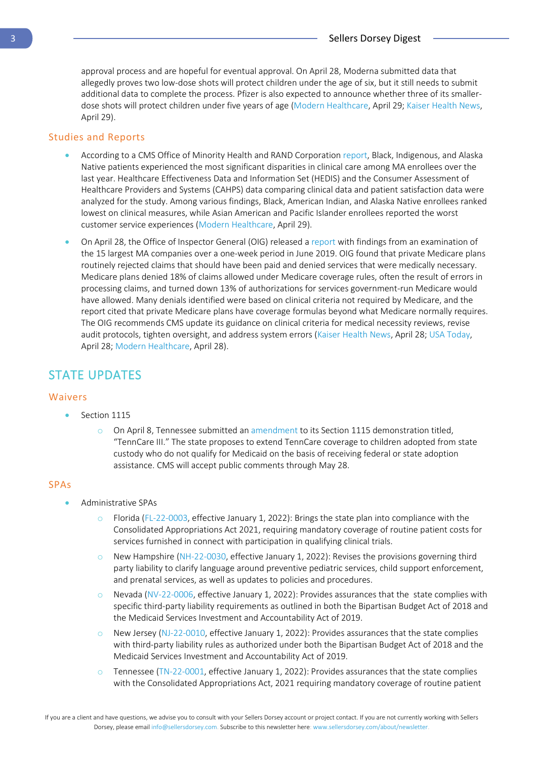approval process and are hopeful for eventual approval. On April 28, Moderna submitted data that allegedly proves two low-dose shots will protect children under the age of six, but it still needs to submit additional data to complete the process. Pfizer is also expected to announce whether three of its smallerdose shots will protect children under five years of age [\(Modern Healthcare,](https://www.modernhealthcare.com/law-regulation/fda-sets-june-meetings-covid-vaccines-youngest-kids) April 29; [Kaiser Health News,](https://khn.org/morning-breakout/parents-wait-for-covid-vaccine-for-youngest-kids-may-end-in-june/) April 29).

#### Studies and Reports

- According to a CMS Office of Minority Health and RAND Corporation [report,](https://www.cms.gov/files/document/2020-national-level-results-race-ethnicity-and-gender-pdf.pdf) Black, Indigenous, and Alaska Native patients experienced the most significant disparities in clinical care among MA enrollees over the last year. Healthcare Effectiveness Data and Information Set (HEDIS) and the Consumer Assessment of Healthcare Providers and Systems (CAHPS) data comparing clinical data and patient satisfaction data were analyzed for the study. Among various findings, Black, American Indian, and Alaska Native enrollees ranked lowest on clinical measures, while Asian American and Pacific Islander enrollees reported the worst customer service experiences [\(Modern Healthcare,](https://www.modernhealthcare.com/patient-care/cms-report-details-health-disparities-among-medicare-advantage-enrollees) April 29).
- On April 28, the Office of Inspector General (OIG) released [a report](https://oig.hhs.gov/oei/reports/OEI-09-18-00260.asp?hero=mao-report-04-28-2022) with findings from an examination of the 15 largest MA companies over a one-week period in June 2019. OIG found that private Medicare plans routinely rejected claims that should have been paid and denied services that were medically necessary. Medicare plans denied 18% of claims allowed under Medicare coverage rules, often the result of errors in processing claims, and turned down 13% of authorizations for services government-run Medicare would have allowed. Many denials identified were based on clinical criteria not required by Medicare, and the report cited that private Medicare plans have coverage formulas beyond what Medicare normally requires. The OIG recommends CMS update its guidance on clinical criteria for medical necessity reviews, revise audit protocols, tighten oversight, and address system errors [\(Kaiser Health News,](https://khn.org/morning-breakout/medicare-advantage-plans-too-often-deny-care-hhs-watchdog-reports/) April 28; [USA Today,](https://www.usatoday.com/story/news/health/2022/04/28/medicare-advantage-plans-claims-care-federal-report/9569198002/)  April 28; [Modern Healthcare,](https://www.modernhealthcare.com/medicare/ma-plans-deny-care-traditional-medicare-would-cover-investigation-finds) April 28).

# <span id="page-2-0"></span>STATE UPDATES

#### Waivers

- Section 1115
	- o On April 8, Tennessee submitted a[n amendment](https://www.medicaid.gov/medicaid/section-1115-demonstrations/downloads/tn-tenncare-iii-pa-04082022.pdf) to its Section 1115 demonstration titled, "TennCare III." The state proposes to extend TennCare coverage to children adopted from state custody who do not qualify for Medicaid on the basis of receiving federal or state adoption assistance. CMS will accept public comments through May 28.

#### SPAs

- Administrative SPAs
	- o Florida [\(FL-22-0003,](https://www.medicaid.gov/medicaid/spa/downloads/FL-22-0003.pdf) effective January 1, 2022): Brings the state plan into compliance with the Consolidated Appropriations Act 2021, requiring mandatory coverage of routine patient costs for services furnished in connect with participation in qualifying clinical trials.
	- o New Hampshire [\(NH-22-0030,](https://www.medicaid.gov/medicaid/spa/downloads/NH-22-0030.pdf) effective January 1, 2022): Revises the provisions governing third party liability to clarify language around preventive pediatric services, child support enforcement, and prenatal services, as well as updates to policies and procedures.
	- Nevada [\(NV-22-0006,](https://www.medicaid.gov/medicaid/spa/downloads/NV-22-0006.pdf) effective January 1, 2022): Provides assurances that the state complies with specific third-party liability requirements as outlined in both the Bipartisan Budget Act of 2018 and the Medicaid Services Investment and Accountability Act of 2019.
	- New Jersey [\(NJ-22-0010,](https://www.medicaid.gov/medicaid/spa/downloads/NJ-22-0010.pdf) effective January 1, 2022): Provides assurances that the state complies with third-party liability rules as authorized under both the Bipartisan Budget Act of 2018 and the Medicaid Services Investment and Accountability Act of 2019.
	- o Tennessee [\(TN-22-0001,](https://www.medicaid.gov/medicaid/spa/downloads/TN-22-0001.pdf) effective January 1, 2022): Provides assurances that the state complies with the Consolidated Appropriations Act, 2021 requiring mandatory coverage of routine patient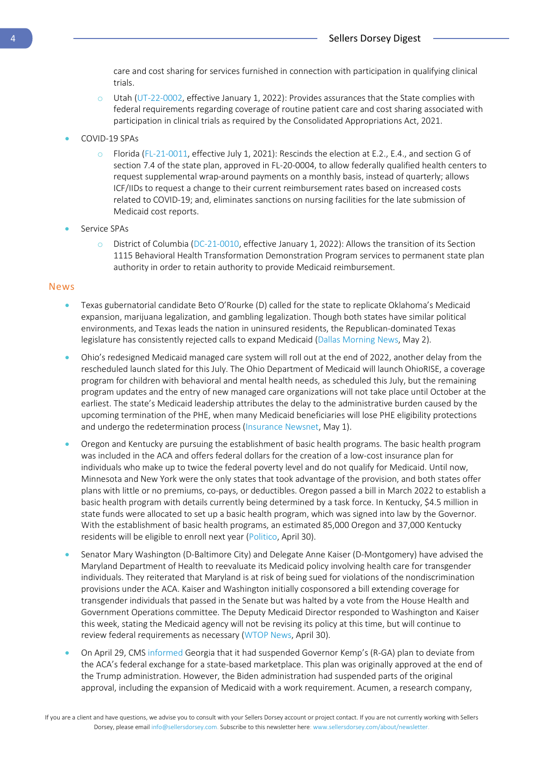care and cost sharing for services furnished in connection with participation in qualifying clinical trials.

- o Utah [\(UT-22-0002,](https://www.medicaid.gov/medicaid/spa/downloads/UT-22-0002.pdf) effective January 1, 2022): Provides assurances that the State complies with federal requirements regarding coverage of routine patient care and cost sharing associated with participation in clinical trials as required by the Consolidated Appropriations Act, 2021.
- COVID-19 SPAs
	- o Florida [\(FL-21-0011,](https://www.medicaid.gov/medicaid/spa/downloads/FL-21-0011.pdf) effective July 1, 2021): Rescinds the election at E.2., E.4., and section G of section 7.4 of the state plan, approved in FL-20-0004, to allow federally qualified health centers to request supplemental wrap-around payments on a monthly basis, instead of quarterly; allows ICF/IIDs to request a change to their current reimbursement rates based on increased costs related to COVID-19; and, eliminates sanctions on nursing facilities for the late submission of Medicaid cost reports.
- Service SPAs
	- o District of Columbia [\(DC-21-0010,](https://www.medicaid.gov/medicaid/spa/downloads/DC-21-0010.pdf) effective January 1, 2022): Allows the transition of its Section 1115 Behavioral Health Transformation Demonstration Program services to permanent state plan authority in order to retain authority to provide Medicaid reimbursement.

#### News

- Texas gubernatorial candidate Beto O'Rourke (D) called for the state to replicate Oklahoma's Medicaid expansion, marijuana legalization, and gambling legalization. Though both states have similar political environments, and Texas leads the nation in uninsured residents, the Republican-dominated Texas legislature has consistently rejected calls to expand Medicaid [\(Dallas Morning News,](https://www.dallasnews.com/news/politics/2022/05/02/beto-orourke-says-texas-can-learn-from-oklahoma-by-expanding-medicaid-legalizing-marijuana/?msclkid=24d6ed66ca0e11ec984ae45443fe724a) May 2).
- Ohio's redesigned Medicaid managed care system will roll out at the end of 2022, another delay from the rescheduled launch slated for this July. The Ohio Department of Medicaid will launch OhioRISE, a coverage program for children with behavioral and mental health needs, as scheduled this July, but the remaining program updates and the entry of new managed care organizations will not take place until October at the earliest. The state's Medicaid leadership attributes the delay to the administrative burden caused by the upcoming termination of the PHE, when many Medicaid beneficiaries will lose PHE eligibility protections and undergo the redetermination process [\(Insurance Newsnet,](https://insurancenewsnet.com/oarticle/rollout-of-most-ohio-medicaid-reforms-pushed-to-end-of-2022-2?msclkid=24d7028bca0e11ec825a0747b43dde61) May 1).
- Oregon and Kentucky are pursuing the establishment of basic health programs. The basic health program was included in the ACA and offers federal dollars for the creation of a low-cost insurance plan for individuals who make up to twice the federal poverty level and do not qualify for Medicaid. Until now, Minnesota and New York were the only states that took advantage of the provision, and both states offer plans with little or no premiums, co-pays, or deductibles. Oregon passed a bill in March 2022 to establish a basic health program with details currently being determined by a task force. In Kentucky, \$4.5 million in state funds were allocated to set up a basic health program, which was signed into law by the Governor. With the establishment of basic health programs, an estimated 85,000 Oregon and 37,000 Kentucky residents will be eligible to enroll next year [\(Politico,](https://www.politico.com/news/2022/04/30/oregon-kentucky-dust-off-an-obama-era-policy-to-expand-health-insurance-00029111) April 30).
- Senator Mary Washington (D-Baltimore City) and Delegate Anne Kaiser (D-Montgomery) have advised the Maryland Department of Health to reevaluate its Medicaid policy involving health care for transgender individuals. They reiterated that Maryland is at risk of being sued for violations of the nondiscrimination provisions under the ACA. Kaiser and Washington initially cosponsored a bill extending coverage for transgender individuals that passed in the Senate but was halted by a vote from the House Health and Government Operations committee. The Deputy Medicaid Director responded to Washington and Kaiser this week, stating the Medicaid agency will not be revising its policy at this time, but will continue to review federal requirements as necessary [\(WTOP News,](https://wtop.com/maryland/2022/04/maryland-lawmakers-push-health-department-to-expand-medicaid-coverage-for-transgender-health-care/?msclkid=24d70bb1ca0e11eca0def73986397e11) April 30).
- On April 29, CMS [informed](https://www.cms.gov/sites/default/files/2022-04/GA%20access%20model%20suspension%20letter%204.29.22.pdf) Georgia that it had suspended Governor Kemp's (R-GA) plan to deviate from the ACA's federal exchange for a state-based marketplace. This plan was originally approved at the end of the Trump administration. However, the Biden administration had suspended parts of the original approval, including the expansion of Medicaid with a work requirement. Acumen, a research company,